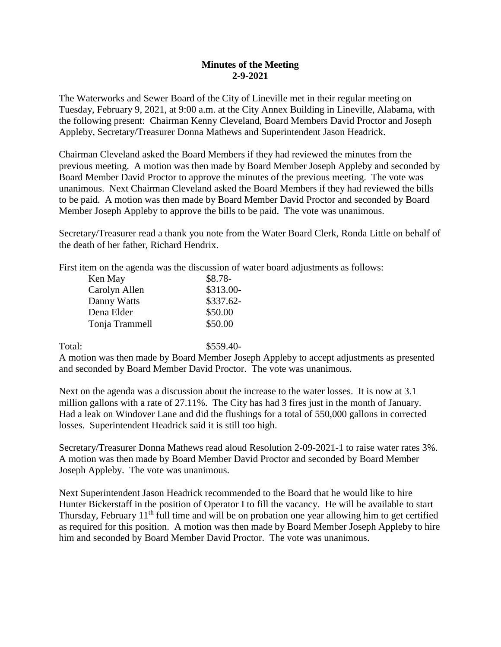## **Minutes of the Meeting 2-9-2021**

The Waterworks and Sewer Board of the City of Lineville met in their regular meeting on Tuesday, February 9, 2021, at 9:00 a.m. at the City Annex Building in Lineville, Alabama, with the following present: Chairman Kenny Cleveland, Board Members David Proctor and Joseph Appleby, Secretary/Treasurer Donna Mathews and Superintendent Jason Headrick.

Chairman Cleveland asked the Board Members if they had reviewed the minutes from the previous meeting. A motion was then made by Board Member Joseph Appleby and seconded by Board Member David Proctor to approve the minutes of the previous meeting. The vote was unanimous. Next Chairman Cleveland asked the Board Members if they had reviewed the bills to be paid. A motion was then made by Board Member David Proctor and seconded by Board Member Joseph Appleby to approve the bills to be paid. The vote was unanimous.

Secretary/Treasurer read a thank you note from the Water Board Clerk, Ronda Little on behalf of the death of her father, Richard Hendrix.

First item on the agenda was the discussion of water board adjustments as follows:

| Ken May        | $$8.78-$   |
|----------------|------------|
| Carolyn Allen  | \$313.00-  |
| Danny Watts    | $$337.62-$ |
| Dena Elder     | \$50.00    |
| Tonja Trammell | \$50.00    |
|                |            |

Total: \$559.40-

A motion was then made by Board Member Joseph Appleby to accept adjustments as presented and seconded by Board Member David Proctor. The vote was unanimous.

Next on the agenda was a discussion about the increase to the water losses. It is now at 3.1 million gallons with a rate of 27.11%. The City has had 3 fires just in the month of January. Had a leak on Windover Lane and did the flushings for a total of 550,000 gallons in corrected losses. Superintendent Headrick said it is still too high.

Secretary/Treasurer Donna Mathews read aloud Resolution 2-09-2021-1 to raise water rates 3%. A motion was then made by Board Member David Proctor and seconded by Board Member Joseph Appleby. The vote was unanimous.

Next Superintendent Jason Headrick recommended to the Board that he would like to hire Hunter Bickerstaff in the position of Operator I to fill the vacancy. He will be available to start Thursday, February  $11<sup>th</sup>$  full time and will be on probation one year allowing him to get certified as required for this position. A motion was then made by Board Member Joseph Appleby to hire him and seconded by Board Member David Proctor. The vote was unanimous.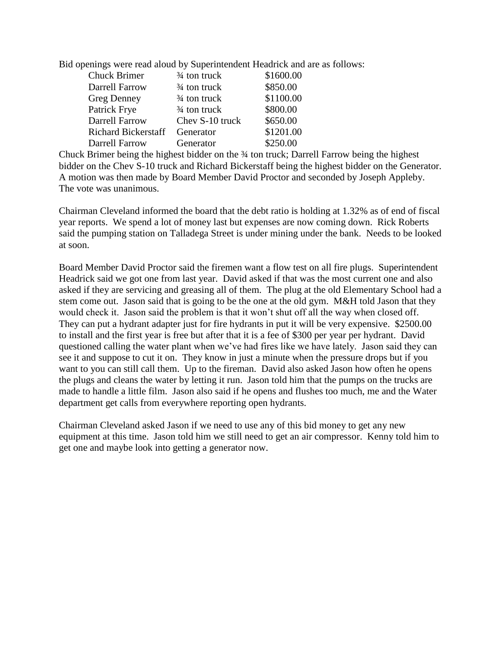Bid openings were read aloud by Superintendent Headrick and are as follows:

| $\frac{3}{4}$ ton truck | \$1600.00 |
|-------------------------|-----------|
| $\frac{3}{4}$ ton truck | \$850.00  |
| $\frac{3}{4}$ ton truck | \$1100.00 |
| $\frac{3}{4}$ ton truck | \$800.00  |
| Chev S-10 truck         | \$650.00  |
| Generator               | \$1201.00 |
| Generator               | \$250.00  |
|                         |           |

Chuck Brimer being the highest bidder on the ¾ ton truck; Darrell Farrow being the highest bidder on the Chev S-10 truck and Richard Bickerstaff being the highest bidder on the Generator. A motion was then made by Board Member David Proctor and seconded by Joseph Appleby. The vote was unanimous.

Chairman Cleveland informed the board that the debt ratio is holding at 1.32% as of end of fiscal year reports. We spend a lot of money last but expenses are now coming down. Rick Roberts said the pumping station on Talladega Street is under mining under the bank. Needs to be looked at soon.

Board Member David Proctor said the firemen want a flow test on all fire plugs. Superintendent Headrick said we got one from last year. David asked if that was the most current one and also asked if they are servicing and greasing all of them. The plug at the old Elementary School had a stem come out. Jason said that is going to be the one at the old gym. M&H told Jason that they would check it. Jason said the problem is that it won't shut off all the way when closed off. They can put a hydrant adapter just for fire hydrants in put it will be very expensive. \$2500.00 to install and the first year is free but after that it is a fee of \$300 per year per hydrant. David questioned calling the water plant when we've had fires like we have lately. Jason said they can see it and suppose to cut it on. They know in just a minute when the pressure drops but if you want to you can still call them. Up to the fireman. David also asked Jason how often he opens the plugs and cleans the water by letting it run. Jason told him that the pumps on the trucks are made to handle a little film. Jason also said if he opens and flushes too much, me and the Water department get calls from everywhere reporting open hydrants.

Chairman Cleveland asked Jason if we need to use any of this bid money to get any new equipment at this time. Jason told him we still need to get an air compressor. Kenny told him to get one and maybe look into getting a generator now.